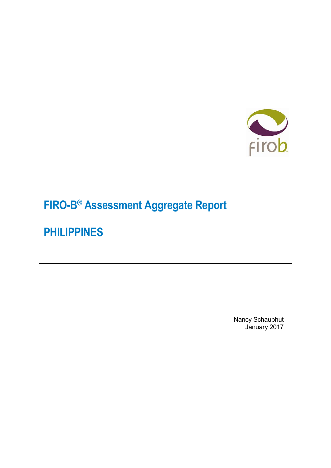

# **FIRO-B® Assessment Aggregate Report**

**PHILIPPINES** 

Nancy Schaubhut January 2017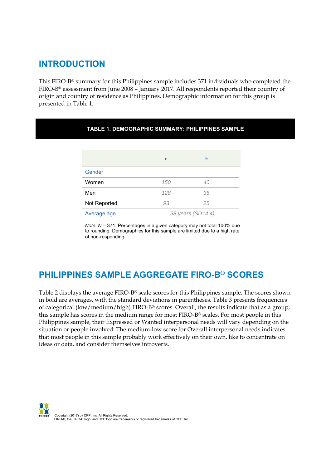## **INTRODUCTION**

This FIRO-B® summary for this Philippines sample includes 371 individuals who completed the FIRO-B® assessment from June 2008 – January 2017. All respondents reported their country of origin and country of residence as Philippines. Demographic information for this group is presented in Table 1.



*Note: N* = 371. Percentages in a given category may not total 100% due to rounding. Demographics for this sample are limited due to a high rate of non-responding.

### **PHILIPPINES SAMPLE AGGREGATE FIRO-B® SCORES**

Table 2 displays the average FIRO-B® scale scores for this Philippines sample. The scores shown in bold are averages, with the standard deviations in parentheses. Table 3 presents frequencies of categorical (low/medium/high) FIRO-B® scores. Overall, the results indicate that as a group, this sample has scores in the medium range for most FIRO-B® scales. For most people in this Philippines sample, their Expressed or Wanted interpersonal needs will vary depending on the situation or people involved. The medium-low score for Overall interpersonal needs indicates that most people in this sample probably work effectively on their own, like to concentrate on ideas or data, and consider themselves introverts.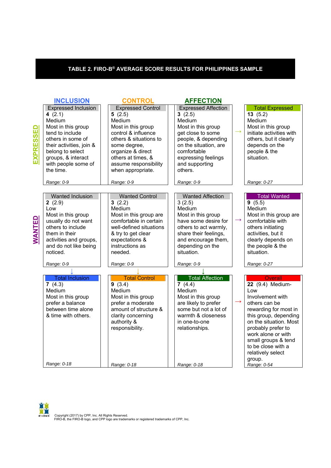#### **TABLE 2. FIRO-B® AVERAGE SCORE RESULTS FOR PHILIPPINES SAMPLE**

| <b>Total Expressed</b><br>13(5.2)<br>Medium<br>Most in this group<br>initiate activities with<br>others, but it clearly<br>depends on the                                                                                                                                                   |
|---------------------------------------------------------------------------------------------------------------------------------------------------------------------------------------------------------------------------------------------------------------------------------------------|
| people & the<br>situation.                                                                                                                                                                                                                                                                  |
| Range: 0-27                                                                                                                                                                                                                                                                                 |
| <b>Total Wanted</b><br>9(5.5)<br>Medium<br>Most in this group are<br>comfortable with<br>others initiating<br>activities, but it<br>clearly depends on<br>the people & the<br>situation.<br>Range: 0-27                                                                                     |
| <b>Overall</b><br>$22(9.4)$ Medium-<br>Involvement with<br>others can be<br>rewarding for most in<br>this group, depending<br>on the situation. Most<br>probably prefer to<br>work alone or with<br>small groups & tend<br>to be close with a<br>relatively select<br>group.<br>Range: 0-54 |
|                                                                                                                                                                                                                                                                                             |